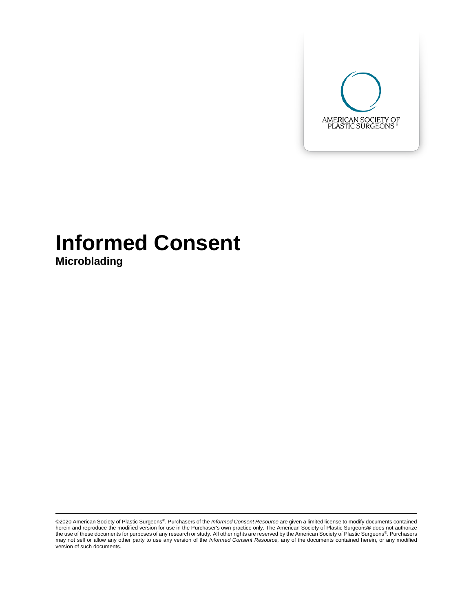

# **Informed Consent**

**Microblading**

<sup>©2020</sup> American Society of Plastic Surgeons®. Purchasers of the *Informed Consent Resource* are given a limited license to modify documents contained herein and reproduce the modified version for use in the Purchaser's own practice only. The American Society of Plastic Surgeons® does not authorize the use of these documents for purposes of any research or study. All other rights are reserved by the American Society of Plastic Surgeons®. Purchasers may not sell or allow any other party to use any version of the *Informed Consent Resource,* any of the documents contained herein, or any modified version of such documents.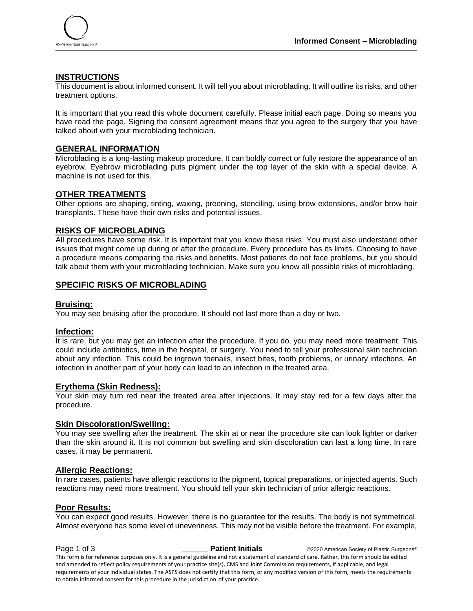

## **INSTRUCTIONS**

This document is about informed consent. It will tell you about microblading. It will outline its risks, and other treatment options.

It is important that you read this whole document carefully. Please initial each page. Doing so means you have read the page. Signing the consent agreement means that you agree to the surgery that you have talked about with your microblading technician.

#### **GENERAL INFORMATION**

Microblading is a long-lasting makeup procedure. It can boldly correct or fully restore the appearance of an eyebrow. Eyebrow microblading puts pigment under the top layer of the skin with a special device. A machine is not used for this.

#### **OTHER TREATMENTS**

Other options are shaping, tinting, waxing, preening, stenciling, using brow extensions, and/or brow hair transplants. These have their own risks and potential issues.

#### **RISKS OF MICROBLADING**

All procedures have some risk. It is important that you know these risks. You must also understand other issues that might come up during or after the procedure. Every procedure has its limits. Choosing to have a procedure means comparing the risks and benefits. Most patients do not face problems, but you should talk about them with your microblading technician. Make sure you know all possible risks of microblading.

### **SPECIFIC RISKS OF MICROBLADING**

#### **Bruising:**

You may see bruising after the procedure. It should not last more than a day or two.

#### **Infection:**

It is rare, but you may get an infection after the procedure. If you do, you may need more treatment. This could include antibiotics, time in the hospital, or surgery. You need to tell your professional skin technician about any infection. This could be ingrown toenails, insect bites, tooth problems, or urinary infections. An infection in another part of your body can lead to an infection in the treated area.

#### **Erythema (Skin Redness):**

Your skin may turn red near the treated area after injections. It may stay red for a few days after the procedure.

#### **Skin Discoloration/Swelling:**

You may see swelling after the treatment. The skin at or near the procedure site can look lighter or darker than the skin around it. It is not common but swelling and skin discoloration can last a long time. In rare cases, it may be permanent.

#### **Allergic Reactions:**

In rare cases, patients have allergic reactions to the pigment, topical preparations, or injected agents. Such reactions may need more treatment. You should tell your skin technician of prior allergic reactions.

#### **Poor Results:**

You can expect good results. However, there is no guarantee for the results. The body is not symmetrical. Almost everyone has some level of unevenness. This may not be visible before the treatment. For example,

**Page 1 of 3 \_\_\_\_\_\_\_\_ Patient Initials**  $\qquad \qquad \circ$ 2020 American Society of Plastic Surgeons® This form is for reference purposes only. It is a general guideline and not a statement of standard of care. Rather, this form should be edited and amended to reflect policy requirements of your practice site(s), CMS and Joint Commission requirements, if applicable, and legal requirements of your individual states. The ASPS does not certify that this form, or any modified version of this form, meets the requirements to obtain informed consent for this procedure in the jurisdiction of your practice.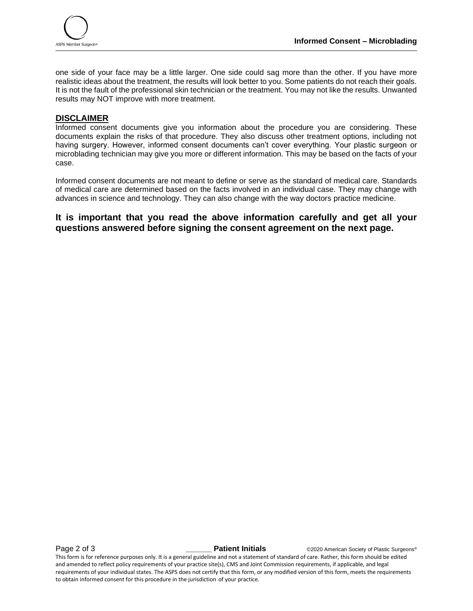

one side of your face may be a little larger. One side could sag more than the other. If you have more realistic ideas about the treatment, the results will look better to you. Some patients do not reach their goals. It is not the fault of the professional skin technician or the treatment. You may not like the results. Unwanted results may NOT improve with more treatment.

# **DISCLAIMER**

Informed consent documents give you information about the procedure you are considering. These documents explain the risks of that procedure. They also discuss other treatment options, including not having surgery. However, informed consent documents can't cover everything. Your plastic surgeon or microblading technician may give you more or different information. This may be based on the facts of your case.

Informed consent documents are not meant to define or serve as the standard of medical care. Standards of medical care are determined based on the facts involved in an individual case. They may change with advances in science and technology. They can also change with the way doctors practice medicine.

# **It is important that you read the above information carefully and get all your questions answered before signing the consent agreement on the next page.**

**Page 2 of 3** *Laceres Corporation Corporation Cation Patient Initials* **C2020** American Society of Plastic Surgeons®

This form is for reference purposes only. It is a general guideline and not a statement of standard of care. Rather, this form should be edited and amended to reflect policy requirements of your practice site(s), CMS and Joint Commission requirements, if applicable, and legal requirements of your individual states. The ASPS does not certify that this form, or any modified version of this form, meets the requirements to obtain informed consent for this procedure in the jurisdiction of your practice.